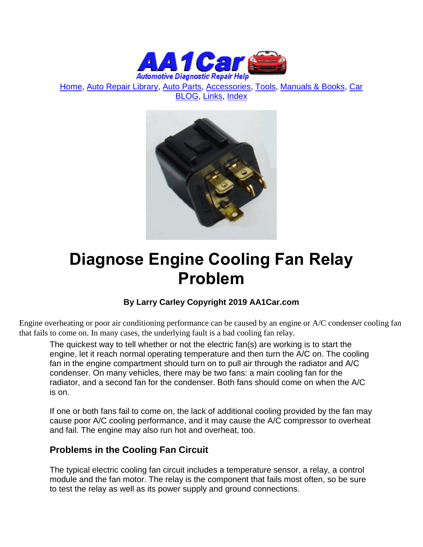

[Home,](http://www.aa1car.com/) [Auto Repair Library,](http://www.aa1car.com/library.htm) [Auto Parts,](http://www.aa1car.com/links_parts.htm) [Accessories,](http://www.aa1car.com/links_accessories.htm) [Tools,](http://www.aa1car.com/links_tools.htm) [Manuals & Books,](http://www.aa1car.com/links_books.htm) [Car](http://www.aa1car.com/blog/blog.htm)  [BLOG,](http://www.aa1car.com/blog/blog.htm) [Links,](http://www.aa1car.com/links.htm) [Index](http://www.aa1car.com/index_alphabetical.htm)



# **Diagnose Engine Cooling Fan Relay Problem**

### **By Larry Carley Copyright 2019 AA1Car.com**

Engine overheating or poor air conditioning performance can be caused by an engine or A/C condenser cooling fan that fails to come on. In many cases, the underlying fault is a bad cooling fan relay.

The quickest way to tell whether or not the electric fan(s) are working is to start the engine, let it reach normal operating temperature and then turn the A/C on. The cooling fan in the engine compartment should turn on to pull air through the radiator and A/C condenser. On many vehicles, there may be two fans: a main cooling fan for the radiator, and a second fan for the condenser. Both fans should come on when the A/C is on.

If one or both fans fail to come on, the lack of additional cooling provided by the fan may cause poor A/C cooling performance, and it may cause the A/C compressor to overheat and fail. The engine may also run hot and overheat, too.

### **Problems in the Cooling Fan Circuit**

The typical electric cooling fan circuit includes a temperature sensor, a relay, a control module and the fan motor. The relay is the component that fails most often, so be sure to test the relay as well as its power supply and ground connections.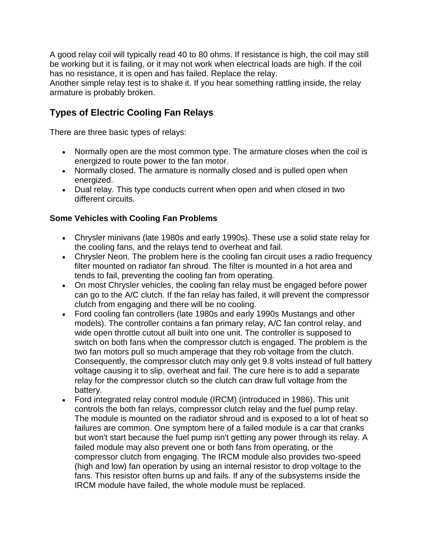A good relay coil will typically read 40 to 80 ohms. If resistance is high, the coil may still be working but it is failing, or it may not work when electrical loads are high. If the coil has no resistance, it is open and has failed. Replace the relay.

Another simple relay test is to shake it. If you hear something rattling inside, the relay armature is probably broken.

## **Types of Electric Cooling Fan Relays**

There are three basic types of relays:

- Normally open are the most common type. The armature closes when the coil is energized to route power to the fan motor.
- Normally closed. The armature is normally closed and is pulled open when energized.
- Dual relay. This type conducts current when open and when closed in two different circuits.

#### **Some Vehicles with Cooling Fan Problems**

- Chrysler minivans (late 1980s and early 1990s). These use a solid state relay for the cooling fans, and the relays tend to overheat and fail.
- Chrysler Neon. The problem here is the cooling fan circuit uses a radio frequency filter mounted on radiator fan shroud. The filter is mounted in a hot area and tends to fail, preventing the cooling fan from operating.
- On most Chrysler vehicles, the cooling fan relay must be engaged before power can go to the A/C clutch. If the fan relay has failed, it will prevent the compressor clutch from engaging and there will be no cooling.
- Ford cooling fan controllers (late 1980s and early 1990s Mustangs and other models). The controller contains a fan primary relay, A/C fan control relay, and wide open throttle cutout all built into one unit. The controller is supposed to switch on both fans when the compressor clutch is engaged. The problem is the two fan motors pull so much amperage that they rob voltage from the clutch. Consequently, the compressor clutch may only get 9.8 volts instead of full battery voltage causing it to slip, overheat and fail. The cure here is to add a separate relay for the compressor clutch so the clutch can draw full voltage from the battery.
- Ford integrated relay control module (IRCM) (introduced in 1986). This unit controls the both fan relays, compressor clutch relay and the fuel pump relay. The module is mounted on the radiator shroud and is exposed to a lot of heat so failures are common. One symptom here of a failed module is a car that cranks but won't start because the fuel pump isn't getting any power through its relay. A failed module may also prevent one or both fans from operating, or the compressor clutch from engaging. The IRCM module also provides two-speed (high and low) fan operation by using an internal resistor to drop voltage to the fans. This resistor often burns up and fails. If any of the subsystems inside the IRCM module have failed, the whole module must be replaced.